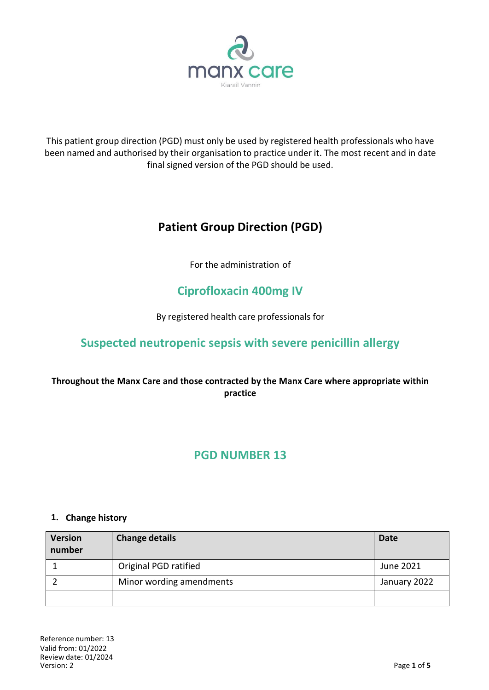

This patient group direction (PGD) must only be used by registered health professionals who have been named and authorised by their organisation to practice under it. The most recent and in date final signed version of the PGD should be used.

# **Patient Group Direction (PGD)**

For the administration of

# **Ciprofloxacin 400mg IV**

By registered health care professionals for

## **Suspected neutropenic sepsis with severe penicillin allergy**

## **Throughout the Manx Care and those contracted by the Manx Care where appropriate within practice**

## **PGD NUMBER 13**

## **1. Change history**

| <b>Version</b><br>number | <b>Change details</b>    | <b>Date</b>  |
|--------------------------|--------------------------|--------------|
|                          | Original PGD ratified    | June 2021    |
|                          | Minor wording amendments | January 2022 |
|                          |                          |              |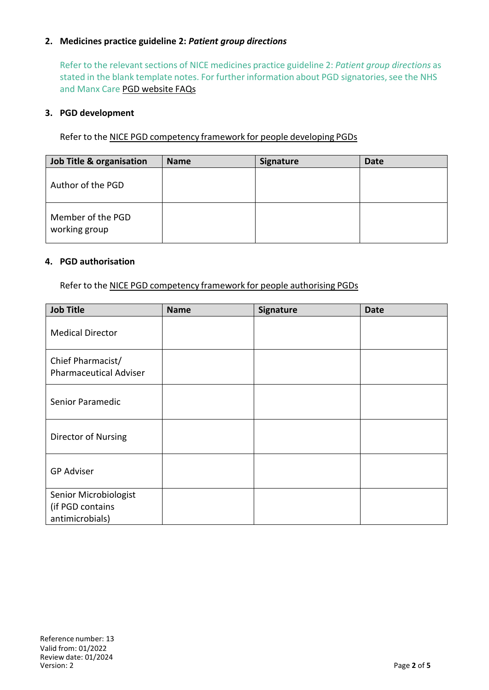## **2. Medicines practice guideline 2:** *Patient group directions*

Refer to the relevant sections of NICE medicines practice guideline 2: *Patient group directions* as stated in the blank template notes. For further information about PGD signatories, see the NHS and Manx Care PGD website FAQs

#### **3. PGD development**

Refer to the NICE PGD competency framework for people developing PGDs

| <b>Job Title &amp; organisation</b> | <b>Name</b> | <b>Signature</b> | <b>Date</b> |
|-------------------------------------|-------------|------------------|-------------|
| Author of the PGD                   |             |                  |             |
| Member of the PGD<br>working group  |             |                  |             |

#### **4. PGD authorisation**

Refer to the NICE PGD competency framework for people authorising PGDs

| <b>Job Title</b>                                             | <b>Name</b> | Signature | <b>Date</b> |
|--------------------------------------------------------------|-------------|-----------|-------------|
| <b>Medical Director</b>                                      |             |           |             |
| Chief Pharmacist/<br><b>Pharmaceutical Adviser</b>           |             |           |             |
| Senior Paramedic                                             |             |           |             |
| Director of Nursing                                          |             |           |             |
| <b>GP Adviser</b>                                            |             |           |             |
| Senior Microbiologist<br>(if PGD contains<br>antimicrobials) |             |           |             |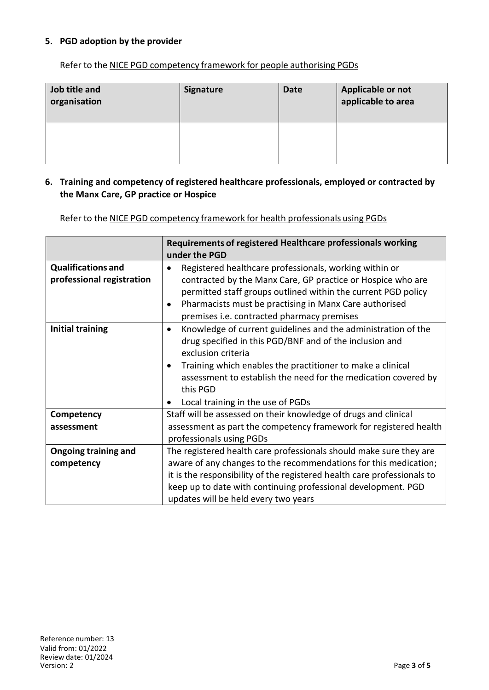## **5. PGD adoption by the provider**

Refer to the NICE PGD competency framework for people authorising PGDs

| Job title and<br>organisation | <b>Signature</b> | <b>Date</b> | Applicable or not<br>applicable to area |
|-------------------------------|------------------|-------------|-----------------------------------------|
|                               |                  |             |                                         |

#### **6. Training and competency of registered healthcare professionals, employed or contracted by the Manx Care, GP practice or Hospice**

Refer to the NICE PGD competency framework for health professionals using PGDs

|                                                        | Requirements of registered Healthcare professionals working<br>under the PGD                                                                                                                                                                                                                                                                 |  |
|--------------------------------------------------------|----------------------------------------------------------------------------------------------------------------------------------------------------------------------------------------------------------------------------------------------------------------------------------------------------------------------------------------------|--|
| <b>Qualifications and</b><br>professional registration | Registered healthcare professionals, working within or<br>contracted by the Manx Care, GP practice or Hospice who are<br>permitted staff groups outlined within the current PGD policy<br>Pharmacists must be practising in Manx Care authorised<br>premises i.e. contracted pharmacy premises                                               |  |
| <b>Initial training</b>                                | Knowledge of current guidelines and the administration of the<br>$\bullet$<br>drug specified in this PGD/BNF and of the inclusion and<br>exclusion criteria<br>Training which enables the practitioner to make a clinical<br>assessment to establish the need for the medication covered by<br>this PGD<br>Local training in the use of PGDs |  |
| Competency                                             | Staff will be assessed on their knowledge of drugs and clinical                                                                                                                                                                                                                                                                              |  |
| assessment                                             | assessment as part the competency framework for registered health<br>professionals using PGDs                                                                                                                                                                                                                                                |  |
| <b>Ongoing training and</b>                            | The registered health care professionals should make sure they are                                                                                                                                                                                                                                                                           |  |
| competency                                             | aware of any changes to the recommendations for this medication;                                                                                                                                                                                                                                                                             |  |
|                                                        | it is the responsibility of the registered health care professionals to                                                                                                                                                                                                                                                                      |  |
|                                                        | keep up to date with continuing professional development. PGD                                                                                                                                                                                                                                                                                |  |
|                                                        | updates will be held every two years                                                                                                                                                                                                                                                                                                         |  |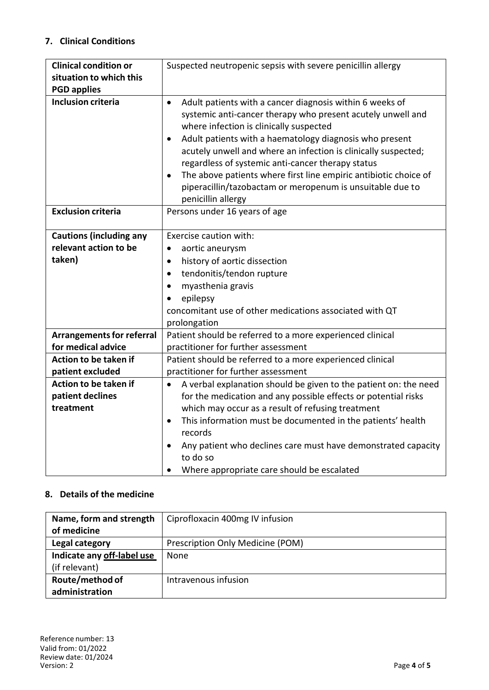## **7. Clinical Conditions**

| <b>Clinical condition or</b>     | Suspected neutropenic sepsis with severe penicillin allergy                                                                                                                                                                                                                                                                                                                                                                                                                                                                           |  |  |
|----------------------------------|---------------------------------------------------------------------------------------------------------------------------------------------------------------------------------------------------------------------------------------------------------------------------------------------------------------------------------------------------------------------------------------------------------------------------------------------------------------------------------------------------------------------------------------|--|--|
| situation to which this          |                                                                                                                                                                                                                                                                                                                                                                                                                                                                                                                                       |  |  |
| <b>PGD applies</b>               |                                                                                                                                                                                                                                                                                                                                                                                                                                                                                                                                       |  |  |
| <b>Inclusion criteria</b>        | Adult patients with a cancer diagnosis within 6 weeks of<br>$\bullet$<br>systemic anti-cancer therapy who present acutely unwell and<br>where infection is clinically suspected<br>Adult patients with a haematology diagnosis who present<br>$\bullet$<br>acutely unwell and where an infection is clinically suspected;<br>regardless of systemic anti-cancer therapy status<br>The above patients where first line empiric antibiotic choice of<br>piperacillin/tazobactam or meropenum is unsuitable due to<br>penicillin allergy |  |  |
| <b>Exclusion criteria</b>        | Persons under 16 years of age                                                                                                                                                                                                                                                                                                                                                                                                                                                                                                         |  |  |
| <b>Cautions (including any</b>   | Exercise caution with:                                                                                                                                                                                                                                                                                                                                                                                                                                                                                                                |  |  |
| relevant action to be            | aortic aneurysm<br>$\bullet$                                                                                                                                                                                                                                                                                                                                                                                                                                                                                                          |  |  |
| taken)                           | history of aortic dissection<br>$\bullet$                                                                                                                                                                                                                                                                                                                                                                                                                                                                                             |  |  |
|                                  | tendonitis/tendon rupture<br>$\bullet$                                                                                                                                                                                                                                                                                                                                                                                                                                                                                                |  |  |
|                                  | myasthenia gravis<br>$\bullet$                                                                                                                                                                                                                                                                                                                                                                                                                                                                                                        |  |  |
|                                  | epilepsy                                                                                                                                                                                                                                                                                                                                                                                                                                                                                                                              |  |  |
|                                  | concomitant use of other medications associated with QT                                                                                                                                                                                                                                                                                                                                                                                                                                                                               |  |  |
|                                  | prolongation                                                                                                                                                                                                                                                                                                                                                                                                                                                                                                                          |  |  |
| <b>Arrangements for referral</b> | Patient should be referred to a more experienced clinical                                                                                                                                                                                                                                                                                                                                                                                                                                                                             |  |  |
| for medical advice               | practitioner for further assessment                                                                                                                                                                                                                                                                                                                                                                                                                                                                                                   |  |  |
| Action to be taken if            | Patient should be referred to a more experienced clinical                                                                                                                                                                                                                                                                                                                                                                                                                                                                             |  |  |
| patient excluded                 | practitioner for further assessment                                                                                                                                                                                                                                                                                                                                                                                                                                                                                                   |  |  |
| Action to be taken if            | A verbal explanation should be given to the patient on: the need<br>$\bullet$                                                                                                                                                                                                                                                                                                                                                                                                                                                         |  |  |
| patient declines                 | for the medication and any possible effects or potential risks                                                                                                                                                                                                                                                                                                                                                                                                                                                                        |  |  |
| treatment                        | which may occur as a result of refusing treatment                                                                                                                                                                                                                                                                                                                                                                                                                                                                                     |  |  |
|                                  | This information must be documented in the patients' health<br>$\bullet$                                                                                                                                                                                                                                                                                                                                                                                                                                                              |  |  |
|                                  | records                                                                                                                                                                                                                                                                                                                                                                                                                                                                                                                               |  |  |
|                                  | Any patient who declines care must have demonstrated capacity<br>٠                                                                                                                                                                                                                                                                                                                                                                                                                                                                    |  |  |
|                                  | to do so                                                                                                                                                                                                                                                                                                                                                                                                                                                                                                                              |  |  |
|                                  | Where appropriate care should be escalated                                                                                                                                                                                                                                                                                                                                                                                                                                                                                            |  |  |

## **8. Details of the medicine**

| Name, form and strength    | Ciprofloxacin 400mg IV infusion  |
|----------------------------|----------------------------------|
| of medicine                |                                  |
| Legal category             | Prescription Only Medicine (POM) |
| Indicate any off-label use | None                             |
| (if relevant)              |                                  |
| Route/method of            | Intravenous infusion             |
| administration             |                                  |